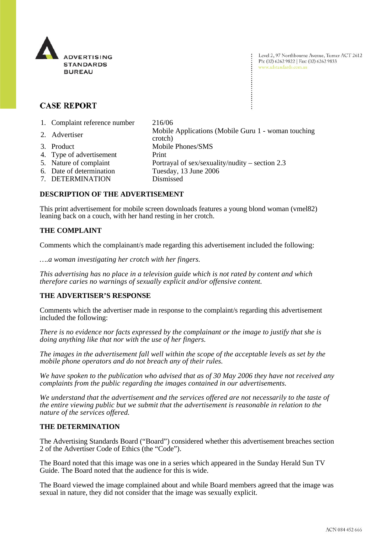

Level 2, 97 Northbourne Avenue, Turner ACT 2612 Ph: (02) 6262 9822 | Fax: (02) 6262 9833 www.adstandards.com.au

# **CASE REPORT**

1. Complaint reference number 216/06

2. Advertiser Mobile Applications (Mobile Guru 1 - woman touching crotch) 3. Product Mobile Phones/SMS 4. Type of advertisement Print 5. Nature of complaint Portrayal of sex/sexuality/nudity – section 2.3 6. Date of determination Tuesday, 13 June 2006 7. DETERMINATION Dismissed

## **DESCRIPTION OF THE ADVERTISEMENT**

This print advertisement for mobile screen downloads features a young blond woman (vmel82) leaning back on a couch, with her hand resting in her crotch.

### **THE COMPLAINT**

Comments which the complainant/s made regarding this advertisement included the following:

*….a woman investigating her crotch with her fingers.* 

*This advertising has no place in a television guide which is not rated by content and which therefore caries no warnings of sexually explicit and/or offensive content.* 

### **THE ADVERTISER'S RESPONSE**

Comments which the advertiser made in response to the complaint/s regarding this advertisement included the following:

*There is no evidence nor facts expressed by the complainant or the image to justify that she is doing anything like that nor with the use of her fingers.* 

*The images in the advertisement fall well within the scope of the acceptable levels as set by the mobile phone operators and do not breach any of their rules.* 

*We have spoken to the publication who advised that as of 30 May 2006 they have not received any complaints from the public regarding the images contained in our advertisements.* 

*We understand that the advertisement and the services offered are not necessarily to the taste of the entire viewing public but we submit that the advertisement is reasonable in relation to the nature of the services offered.* 

### **THE DETERMINATION**

The Advertising Standards Board ("Board") considered whether this advertisement breaches section 2 of the Advertiser Code of Ethics (the "Code").

The Board noted that this image was one in a series which appeared in the Sunday Herald Sun TV Guide. The Board noted that the audience for this is wide.

The Board viewed the image complained about and while Board members agreed that the image was sexual in nature, they did not consider that the image was sexually explicit.